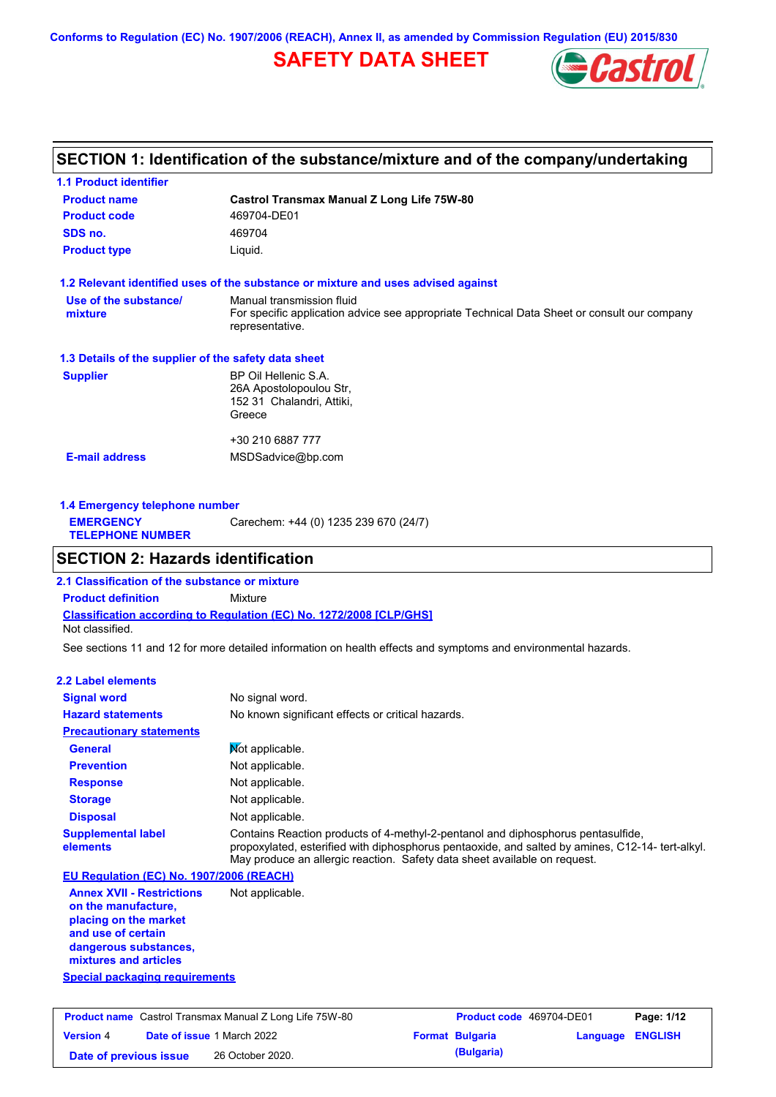**Conforms to Regulation (EC) No. 1907/2006 (REACH), Annex II, as amended by Commission Regulation (EU) 2015/830**

## **SAFETY DATA SHEET**



## **SECTION 1: Identification of the substance/mixture and of the company/undertaking**

| <b>1.1 Product identifier</b>                        |                                                                                                                                             |
|------------------------------------------------------|---------------------------------------------------------------------------------------------------------------------------------------------|
| <b>Product name</b>                                  | Castrol Transmax Manual Z Long Life 75W-80                                                                                                  |
| <b>Product code</b>                                  | 469704-DE01                                                                                                                                 |
| SDS no.                                              | 469704                                                                                                                                      |
| <b>Product type</b>                                  | Liquid.                                                                                                                                     |
|                                                      | 1.2 Relevant identified uses of the substance or mixture and uses advised against                                                           |
| Use of the substance/<br>mixture                     | Manual transmission fluid<br>For specific application advice see appropriate Technical Data Sheet or consult our company<br>representative. |
| 1.3 Details of the supplier of the safety data sheet |                                                                                                                                             |
| <b>Supplier</b>                                      | BP Oil Hellenic S.A.<br>26A Apostolopoulou Str.<br>152 31 Chalandri, Attiki,<br>Greece                                                      |
|                                                      | +30 210 6887 777                                                                                                                            |
| <b>E-mail address</b>                                | MSDSadvice@bp.com                                                                                                                           |
|                                                      |                                                                                                                                             |

| 1.4 Emergency telephone number              |                                       |  |  |
|---------------------------------------------|---------------------------------------|--|--|
| <b>EMERGENCY</b><br><b>TELEPHONE NUMBER</b> | Carechem: +44 (0) 1235 239 670 (24/7) |  |  |
|                                             |                                       |  |  |

## **SECTION 2: Hazards identification**

**Classification according to Regulation (EC) No. 1272/2008 [CLP/GHS] 2.1 Classification of the substance or mixture Product definition** Mixture Not classified.

See sections 11 and 12 for more detailed information on health effects and symptoms and environmental hazards.

#### **2.2 Label elements**

| EB EUDUI UIUIIDIIW                                      |                                                                                                                                                                                                                                                                   |
|---------------------------------------------------------|-------------------------------------------------------------------------------------------------------------------------------------------------------------------------------------------------------------------------------------------------------------------|
| <b>Signal word</b>                                      | No signal word.                                                                                                                                                                                                                                                   |
| <b>Hazard statements</b>                                | No known significant effects or critical hazards.                                                                                                                                                                                                                 |
| <b>Precautionary statements</b>                         |                                                                                                                                                                                                                                                                   |
| <b>General</b>                                          | Not applicable.                                                                                                                                                                                                                                                   |
| <b>Prevention</b>                                       | Not applicable.                                                                                                                                                                                                                                                   |
| <b>Response</b>                                         | Not applicable.                                                                                                                                                                                                                                                   |
| <b>Storage</b>                                          | Not applicable.                                                                                                                                                                                                                                                   |
| <b>Disposal</b>                                         | Not applicable.                                                                                                                                                                                                                                                   |
| <b>Supplemental label</b><br>elements                   | Contains Reaction products of 4-methyl-2-pentanol and diphosphorus pentasulfide,<br>propoxylated, esterified with diphosphorus pentaoxide, and salted by amines, C12-14- tert-alkyl.<br>May produce an allergic reaction. Safety data sheet available on request. |
| EU Requiation (EC) No. 1907/2006 (REACH)                |                                                                                                                                                                                                                                                                   |
| <b>Annex XVII - Restrictions</b><br>on the manufacture, | Not applicable.                                                                                                                                                                                                                                                   |

**placing on the market and use of certain dangerous substances, mixtures and articles**

### **Special packaging requirements**

| <b>Product name</b> Castrol Transmax Manual Z Long Life 75W-80 |  | <b>Product code</b> 469704-DE01   |  | Page: 1/12             |                         |  |
|----------------------------------------------------------------|--|-----------------------------------|--|------------------------|-------------------------|--|
| <b>Version 4</b>                                               |  | <b>Date of issue 1 March 2022</b> |  | <b>Format Bulgaria</b> | <b>Language ENGLISH</b> |  |
| Date of previous issue                                         |  | 26 October 2020.                  |  | (Bulgaria)             |                         |  |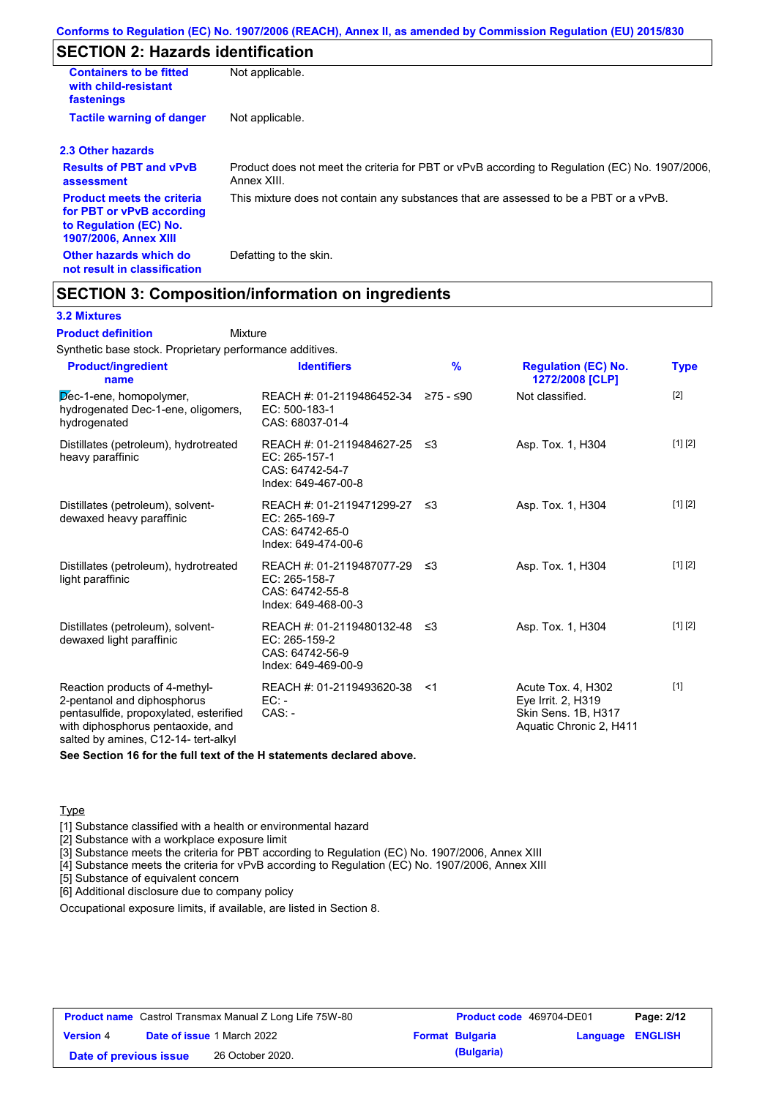## **SECTION 2: Hazards identification**

| <b>Containers to be fitted</b><br>with child-resistant<br>fastenings                                                     | Not applicable.                                                                                               |
|--------------------------------------------------------------------------------------------------------------------------|---------------------------------------------------------------------------------------------------------------|
| <b>Tactile warning of danger</b>                                                                                         | Not applicable.                                                                                               |
| 2.3 Other hazards                                                                                                        |                                                                                                               |
| <b>Results of PBT and vPvB</b><br>assessment                                                                             | Product does not meet the criteria for PBT or vPvB according to Regulation (EC) No. 1907/2006,<br>Annex XIII. |
| <b>Product meets the criteria</b><br>for PBT or vPvB according<br>to Regulation (EC) No.<br><b>1907/2006, Annex XIII</b> | This mixture does not contain any substances that are assessed to be a PBT or a vPvB.                         |
| Other hazards which do<br>not result in classification                                                                   | Defatting to the skin.                                                                                        |

### **SECTION 3: Composition/information on ingredients**

Mixture

#### **3.2 Mixtures**

**Product definition**

Synthetic base stock. Proprietary performance additives.

| <b>Product/ingredient</b><br>name                                                                                                                                                    | <b>Identifiers</b>                                                                        | $\frac{9}{6}$ | <b>Regulation (EC) No.</b><br>1272/2008 [CLP]                                              | <b>Type</b> |
|--------------------------------------------------------------------------------------------------------------------------------------------------------------------------------------|-------------------------------------------------------------------------------------------|---------------|--------------------------------------------------------------------------------------------|-------------|
| Dec-1-ene, homopolymer,<br>hydrogenated Dec-1-ene, oligomers,<br>hydrogenated                                                                                                        | REACH #: 01-2119486452-34 ≥75 - ≤90<br>EC: 500-183-1<br>CAS: 68037-01-4                   |               | Not classified.                                                                            | $[2]$       |
| Distillates (petroleum), hydrotreated<br>heavy paraffinic                                                                                                                            | REACH #: 01-2119484627-25 ≤3<br>EC: 265-157-1<br>CAS: 64742-54-7<br>Index: 649-467-00-8   |               | Asp. Tox. 1, H304                                                                          | [1] [2]     |
| Distillates (petroleum), solvent-<br>dewaxed heavy paraffinic                                                                                                                        | REACH #: 01-2119471299-27 ≤3<br>$EC: 265-169-7$<br>CAS: 64742-65-0<br>Index: 649-474-00-6 |               | Asp. Tox. 1, H304                                                                          | [1] [2]     |
| Distillates (petroleum), hydrotreated<br>light paraffinic                                                                                                                            | REACH #: 01-2119487077-29 ≤3<br>EC: 265-158-7<br>CAS: 64742-55-8<br>Index: 649-468-00-3   |               | Asp. Tox. 1, H304                                                                          | [1] [2]     |
| Distillates (petroleum), solvent-<br>dewaxed light paraffinic                                                                                                                        | REACH #: 01-2119480132-48 ≤3<br>EC: 265-159-2<br>CAS: 64742-56-9<br>Index: 649-469-00-9   |               | Asp. Tox. 1, H304                                                                          | [1] [2]     |
| Reaction products of 4-methyl-<br>2-pentanol and diphosphorus<br>pentasulfide, propoxylated, esterified<br>with diphosphorus pentaoxide, and<br>salted by amines, C12-14- tert-alkyl | REACH #: 01-2119493620-38 <1<br>$EC:$ -<br>$CAS. -$                                       |               | Acute Tox. 4, H302<br>Eye Irrit. 2, H319<br>Skin Sens. 1B, H317<br>Aquatic Chronic 2, H411 | $[1]$       |

**See Section 16 for the full text of the H statements declared above.**

#### **Type**

[1] Substance classified with a health or environmental hazard

[2] Substance with a workplace exposure limit

[3] Substance meets the criteria for PBT according to Regulation (EC) No. 1907/2006, Annex XIII

[4] Substance meets the criteria for vPvB according to Regulation (EC) No. 1907/2006, Annex XIII

[5] Substance of equivalent concern

[6] Additional disclosure due to company policy

Occupational exposure limits, if available, are listed in Section 8.

|                        | <b>Product name</b> Castrol Transmax Manual Z Long Life 75W-80 | <b>Product code</b> 469704-DE01 |                  | Page: 2/12 |
|------------------------|----------------------------------------------------------------|---------------------------------|------------------|------------|
| <b>Version 4</b>       | <b>Date of issue 1 March 2022</b>                              | <b>Format Bulgaria</b>          | Language ENGLISH |            |
| Date of previous issue | 26 October 2020.                                               | (Bulgaria)                      |                  |            |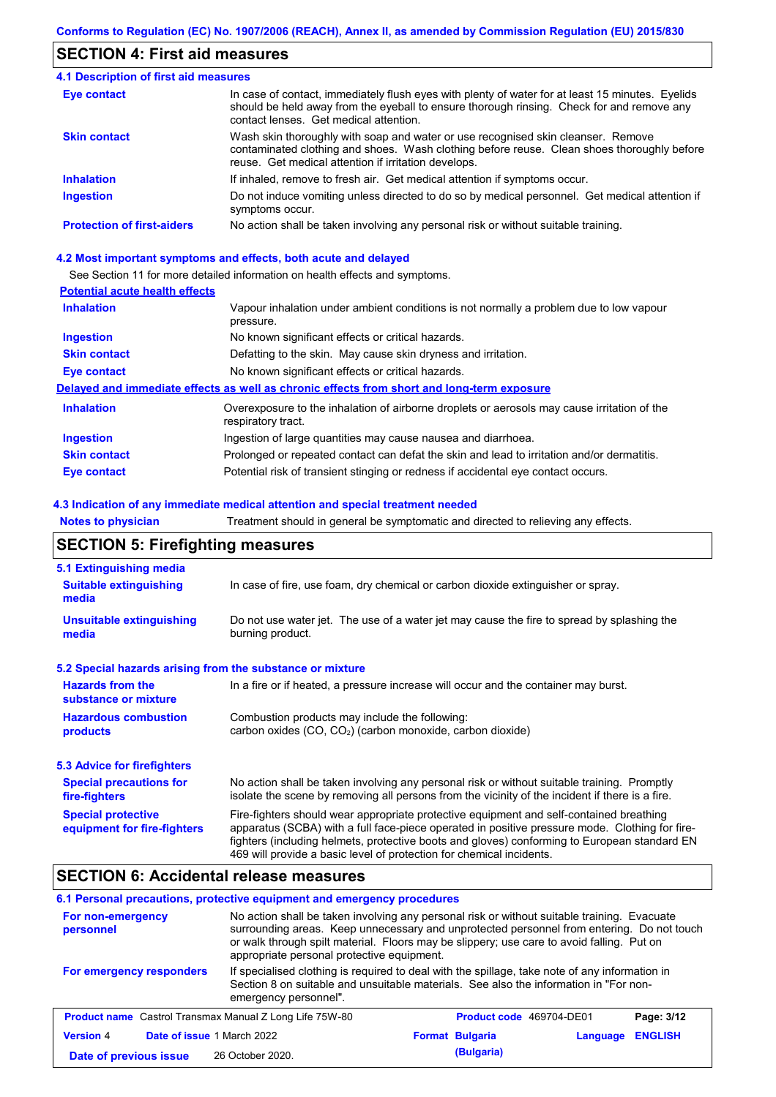## **SECTION 4: First aid measures**

| <b>4.1 Description of first aid measures</b> |                                                                                                                                                                                                                                         |
|----------------------------------------------|-----------------------------------------------------------------------------------------------------------------------------------------------------------------------------------------------------------------------------------------|
| <b>Eye contact</b>                           | In case of contact, immediately flush eyes with plenty of water for at least 15 minutes. Eyelids<br>should be held away from the eyeball to ensure thorough rinsing. Check for and remove any<br>contact lenses. Get medical attention. |
| <b>Skin contact</b>                          | Wash skin thoroughly with soap and water or use recognised skin cleanser. Remove<br>contaminated clothing and shoes. Wash clothing before reuse. Clean shoes thoroughly before<br>reuse. Get medical attention if irritation develops.  |
| <b>Inhalation</b>                            | If inhaled, remove to fresh air. Get medical attention if symptoms occur.                                                                                                                                                               |
| Ingestion                                    | Do not induce vomiting unless directed to do so by medical personnel. Get medical attention if<br>symptoms occur.                                                                                                                       |
| <b>Protection of first-aiders</b>            | No action shall be taken involving any personal risk or without suitable training.                                                                                                                                                      |

#### **4.2 Most important symptoms and effects, both acute and delayed**

See Section 11 for more detailed information on health effects and symptoms.

### **Potential acute health effects**

| <b>Inhalation</b>   | Vapour inhalation under ambient conditions is not normally a problem due to low vapour<br>pressure.               |
|---------------------|-------------------------------------------------------------------------------------------------------------------|
| <b>Ingestion</b>    | No known significant effects or critical hazards.                                                                 |
| <b>Skin contact</b> | Defatting to the skin. May cause skin dryness and irritation.                                                     |
| Eye contact         | No known significant effects or critical hazards.                                                                 |
|                     | Delayed and immediate effects as well as chronic effects from short and long-term exposure                        |
| <b>Inhalation</b>   | Overexposure to the inhalation of airborne droplets or aerosols may cause irritation of the<br>respiratory tract. |
| <b>Ingestion</b>    | Ingestion of large quantities may cause nausea and diarrhoea.                                                     |
| <b>Skin contact</b> | Prolonged or repeated contact can defat the skin and lead to irritation and/or dermatitis.                        |
| Eye contact         | Potential risk of transient stinging or redness if accidental eye contact occurs.                                 |

#### **4.3 Indication of any immediate medical attention and special treatment needed**

**Notes to physician** Treatment should in general be symptomatic and directed to relieving any effects.

## **SECTION 5: Firefighting measures**

| 5.1 Extinguishing media                                   |                                                                                                                                                                                                                                                                                                                                                                   |  |  |  |
|-----------------------------------------------------------|-------------------------------------------------------------------------------------------------------------------------------------------------------------------------------------------------------------------------------------------------------------------------------------------------------------------------------------------------------------------|--|--|--|
| <b>Suitable extinguishing</b><br>media                    | In case of fire, use foam, dry chemical or carbon dioxide extinguisher or spray.                                                                                                                                                                                                                                                                                  |  |  |  |
| <b>Unsuitable extinguishing</b><br>media                  | Do not use water jet. The use of a water jet may cause the fire to spread by splashing the<br>burning product.                                                                                                                                                                                                                                                    |  |  |  |
| 5.2 Special hazards arising from the substance or mixture |                                                                                                                                                                                                                                                                                                                                                                   |  |  |  |
| <b>Hazards from the</b><br>substance or mixture           | In a fire or if heated, a pressure increase will occur and the container may burst.                                                                                                                                                                                                                                                                               |  |  |  |
| <b>Hazardous combustion</b><br>products                   | Combustion products may include the following:<br>carbon oxides (CO, CO <sub>2</sub> ) (carbon monoxide, carbon dioxide)                                                                                                                                                                                                                                          |  |  |  |
| 5.3 Advice for firefighters                               |                                                                                                                                                                                                                                                                                                                                                                   |  |  |  |
| <b>Special precautions for</b><br>fire-fighters           | No action shall be taken involving any personal risk or without suitable training. Promptly<br>isolate the scene by removing all persons from the vicinity of the incident if there is a fire.                                                                                                                                                                    |  |  |  |
| <b>Special protective</b><br>equipment for fire-fighters  | Fire-fighters should wear appropriate protective equipment and self-contained breathing<br>apparatus (SCBA) with a full face-piece operated in positive pressure mode. Clothing for fire-<br>fighters (including helmets, protective boots and gloves) conforming to European standard EN<br>469 will provide a basic level of protection for chemical incidents. |  |  |  |

## **SECTION 6: Accidental release measures**

#### **6.1 Personal precautions, protective equipment and emergency procedures**

| For non-emergency<br>personnel                                 | No action shall be taken involving any personal risk or without suitable training. Evacuate<br>surrounding areas. Keep unnecessary and unprotected personnel from entering. Do not touch<br>or walk through spilt material. Floors may be slippery; use care to avoid falling. Put on<br>appropriate personal protective equipment. |                                 |          |                |
|----------------------------------------------------------------|-------------------------------------------------------------------------------------------------------------------------------------------------------------------------------------------------------------------------------------------------------------------------------------------------------------------------------------|---------------------------------|----------|----------------|
| For emergency responders                                       | If specialised clothing is required to deal with the spillage, take note of any information in<br>Section 8 on suitable and unsuitable materials. See also the information in "For non-<br>emergency personnel".                                                                                                                    |                                 |          |                |
| <b>Product name</b> Castrol Transmax Manual Z Long Life 75W-80 |                                                                                                                                                                                                                                                                                                                                     | <b>Product code</b> 469704-DE01 |          | Page: 3/12     |
| <b>Version 4</b><br>Date of issue 1 March 2022                 |                                                                                                                                                                                                                                                                                                                                     | <b>Format Bulgaria</b>          | Language | <b>ENGLISH</b> |
| Date of previous issue                                         | 26 October 2020.                                                                                                                                                                                                                                                                                                                    | (Bulgaria)                      |          |                |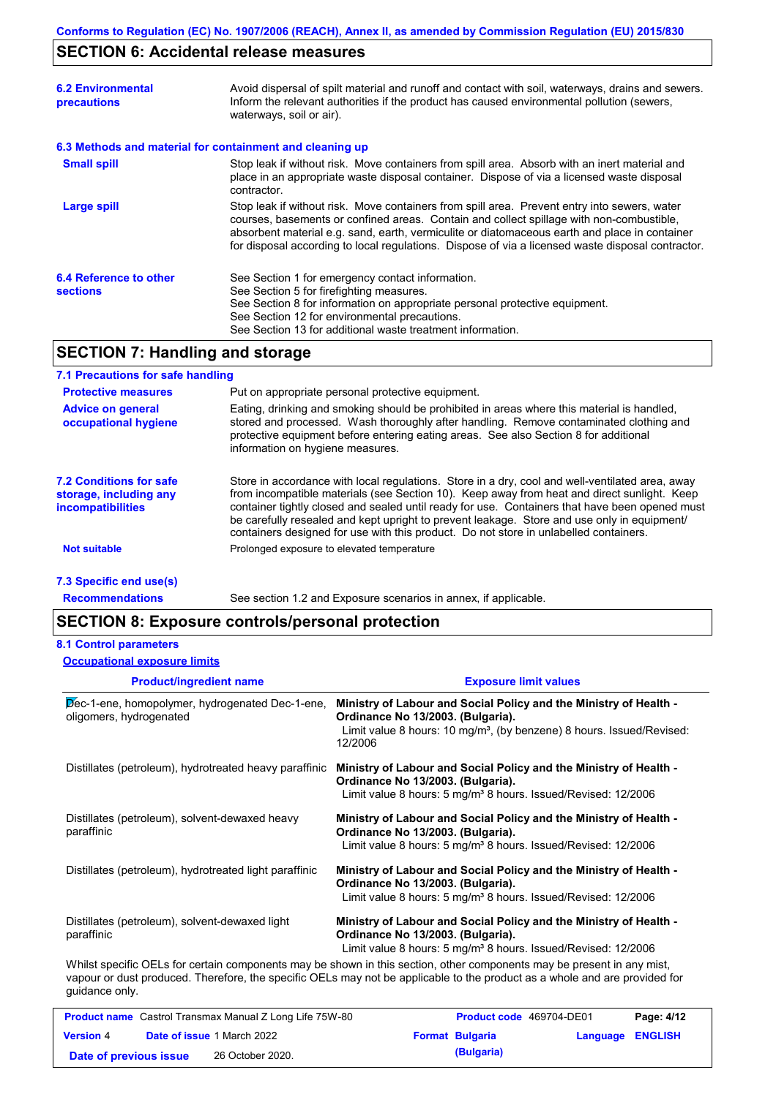## **SECTION 6: Accidental release measures**

| <b>6.2 Environmental</b><br>precautions   | Avoid dispersal of spilt material and runoff and contact with soil, waterways, drains and sewers.<br>Inform the relevant authorities if the product has caused environmental pollution (sewers,<br>waterways, soil or air).                                                                                                                                                                    |  |  |
|-------------------------------------------|------------------------------------------------------------------------------------------------------------------------------------------------------------------------------------------------------------------------------------------------------------------------------------------------------------------------------------------------------------------------------------------------|--|--|
|                                           | 6.3 Methods and material for containment and cleaning up                                                                                                                                                                                                                                                                                                                                       |  |  |
| <b>Small spill</b>                        | Stop leak if without risk. Move containers from spill area. Absorb with an inert material and<br>place in an appropriate waste disposal container. Dispose of via a licensed waste disposal<br>contractor.                                                                                                                                                                                     |  |  |
| <b>Large spill</b>                        | Stop leak if without risk. Move containers from spill area. Prevent entry into sewers, water<br>courses, basements or confined areas. Contain and collect spillage with non-combustible,<br>absorbent material e.g. sand, earth, vermiculite or diatomaceous earth and place in container<br>for disposal according to local regulations. Dispose of via a licensed waste disposal contractor. |  |  |
| 6.4 Reference to other<br><b>sections</b> | See Section 1 for emergency contact information.<br>See Section 5 for firefighting measures.<br>See Section 8 for information on appropriate personal protective equipment.<br>See Section 12 for environmental precautions.<br>See Section 13 for additional waste treatment information.                                                                                                     |  |  |
| -------                                   |                                                                                                                                                                                                                                                                                                                                                                                                |  |  |

## **SECTION 7: Handling and storage**

#### **7.1 Precautions for safe handling**

| <b>Protective measures</b>                                             | Put on appropriate personal protective equipment.                                                                                                                                                                                                                                                                                                                                                                                                                                        |
|------------------------------------------------------------------------|------------------------------------------------------------------------------------------------------------------------------------------------------------------------------------------------------------------------------------------------------------------------------------------------------------------------------------------------------------------------------------------------------------------------------------------------------------------------------------------|
| <b>Advice on general</b><br>occupational hygiene                       | Eating, drinking and smoking should be prohibited in areas where this material is handled,<br>stored and processed. Wash thoroughly after handling. Remove contaminated clothing and<br>protective equipment before entering eating areas. See also Section 8 for additional<br>information on hygiene measures.                                                                                                                                                                         |
| 7.2 Conditions for safe<br>storage, including any<br>incompatibilities | Store in accordance with local requlations. Store in a dry, cool and well-ventilated area, away<br>from incompatible materials (see Section 10). Keep away from heat and direct sunlight. Keep<br>container tightly closed and sealed until ready for use. Containers that have been opened must<br>be carefully resealed and kept upright to prevent leakage. Store and use only in equipment/<br>containers designed for use with this product. Do not store in unlabelled containers. |
| <b>Not suitable</b>                                                    | Prolonged exposure to elevated temperature                                                                                                                                                                                                                                                                                                                                                                                                                                               |
| 7.3 Specific end use(s)                                                |                                                                                                                                                                                                                                                                                                                                                                                                                                                                                          |

**Recommendations**

See section 1.2 and Exposure scenarios in annex, if applicable.

### **SECTION 8: Exposure controls/personal protection**

#### **8.1 Control parameters**

**Occupational exposure limits**

| <b>Product/ingredient name</b>                                             | <b>Exposure limit values</b>                                                                                                                                                                           |
|----------------------------------------------------------------------------|--------------------------------------------------------------------------------------------------------------------------------------------------------------------------------------------------------|
| Dec-1-ene, homopolymer, hydrogenated Dec-1-ene,<br>oligomers, hydrogenated | Ministry of Labour and Social Policy and the Ministry of Health -<br>Ordinance No 13/2003. (Bulgaria).<br>Limit value 8 hours: 10 mg/m <sup>3</sup> , (by benzene) 8 hours. Issued/Revised:<br>12/2006 |
| Distillates (petroleum), hydrotreated heavy paraffinic                     | Ministry of Labour and Social Policy and the Ministry of Health -<br>Ordinance No 13/2003. (Bulgaria).<br>Limit value 8 hours: 5 mg/m <sup>3</sup> 8 hours. Issued/Revised: 12/2006                    |
| Distillates (petroleum), solvent-dewaxed heavy<br>paraffinic               | Ministry of Labour and Social Policy and the Ministry of Health -<br>Ordinance No 13/2003. (Bulgaria).<br>Limit value 8 hours: 5 mg/m <sup>3</sup> 8 hours. Issued/Revised: 12/2006                    |
| Distillates (petroleum), hydrotreated light paraffinic                     | Ministry of Labour and Social Policy and the Ministry of Health -<br>Ordinance No 13/2003. (Bulgaria).<br>Limit value 8 hours: 5 mg/m <sup>3</sup> 8 hours. Issued/Revised: 12/2006                    |
| Distillates (petroleum), solvent-dewaxed light<br>paraffinic               | Ministry of Labour and Social Policy and the Ministry of Health -<br>Ordinance No 13/2003. (Bulgaria).<br>Limit value 8 hours: 5 mg/m <sup>3</sup> 8 hours. Issued/Revised: 12/2006                    |
|                                                                            | Whilet epocific OFLs for cortain components may be shown in this soction other components may be present in any mist                                                                                   |

Whilst specific OELs for certain components may be shown in this section, other components may be present in any mist, vapour or dust produced. Therefore, the specific OELs may not be applicable to the product as a whole and are provided for guidance only.

|                        | <b>Product name</b> Castrol Transmax Manual Z Long Life 75W-80 | <b>Product code</b> 469704-DE01 |                         | Page: 4/12 |
|------------------------|----------------------------------------------------------------|---------------------------------|-------------------------|------------|
| <b>Version 4</b>       | <b>Date of issue 1 March 2022</b>                              | <b>Format Bulgaria</b>          | <b>Language ENGLISH</b> |            |
| Date of previous issue | 26 October 2020.                                               | (Bulgaria)                      |                         |            |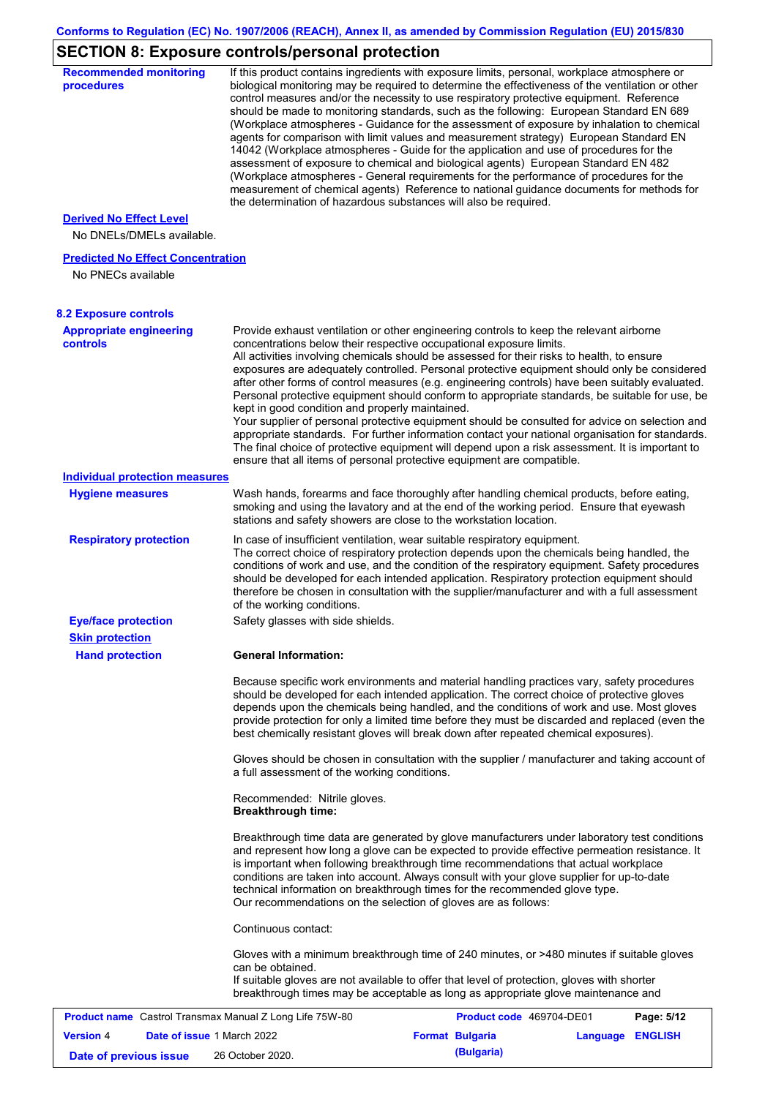# **SECTION 8: Exposure controls/personal protection**

| <b>Recommended monitoring</b><br>procedures                    |                                                           | If this product contains ingredients with exposure limits, personal, workplace atmosphere or<br>biological monitoring may be required to determine the effectiveness of the ventilation or other<br>control measures and/or the necessity to use respiratory protective equipment. Reference<br>should be made to monitoring standards, such as the following: European Standard EN 689<br>(Workplace atmospheres - Guidance for the assessment of exposure by inhalation to chemical<br>agents for comparison with limit values and measurement strategy) European Standard EN<br>14042 (Workplace atmospheres - Guide for the application and use of procedures for the<br>assessment of exposure to chemical and biological agents) European Standard EN 482<br>(Workplace atmospheres - General requirements for the performance of procedures for the<br>measurement of chemical agents) Reference to national guidance documents for methods for<br>the determination of hazardous substances will also be required. |                  |            |
|----------------------------------------------------------------|-----------------------------------------------------------|----------------------------------------------------------------------------------------------------------------------------------------------------------------------------------------------------------------------------------------------------------------------------------------------------------------------------------------------------------------------------------------------------------------------------------------------------------------------------------------------------------------------------------------------------------------------------------------------------------------------------------------------------------------------------------------------------------------------------------------------------------------------------------------------------------------------------------------------------------------------------------------------------------------------------------------------------------------------------------------------------------------------------|------------------|------------|
| <b>Derived No Effect Level</b><br>No DNELs/DMELs available.    |                                                           |                                                                                                                                                                                                                                                                                                                                                                                                                                                                                                                                                                                                                                                                                                                                                                                                                                                                                                                                                                                                                            |                  |            |
| <b>Predicted No Effect Concentration</b>                       |                                                           |                                                                                                                                                                                                                                                                                                                                                                                                                                                                                                                                                                                                                                                                                                                                                                                                                                                                                                                                                                                                                            |                  |            |
| No PNECs available                                             |                                                           |                                                                                                                                                                                                                                                                                                                                                                                                                                                                                                                                                                                                                                                                                                                                                                                                                                                                                                                                                                                                                            |                  |            |
| <b>8.2 Exposure controls</b>                                   |                                                           |                                                                                                                                                                                                                                                                                                                                                                                                                                                                                                                                                                                                                                                                                                                                                                                                                                                                                                                                                                                                                            |                  |            |
| <b>Appropriate engineering</b><br><b>controls</b>              | kept in good condition and properly maintained.           | Provide exhaust ventilation or other engineering controls to keep the relevant airborne<br>concentrations below their respective occupational exposure limits.<br>All activities involving chemicals should be assessed for their risks to health, to ensure<br>exposures are adequately controlled. Personal protective equipment should only be considered<br>after other forms of control measures (e.g. engineering controls) have been suitably evaluated.<br>Personal protective equipment should conform to appropriate standards, be suitable for use, be<br>Your supplier of personal protective equipment should be consulted for advice on selection and<br>appropriate standards. For further information contact your national organisation for standards.<br>The final choice of protective equipment will depend upon a risk assessment. It is important to<br>ensure that all items of personal protective equipment are compatible.                                                                       |                  |            |
| <b>Individual protection measures</b>                          |                                                           |                                                                                                                                                                                                                                                                                                                                                                                                                                                                                                                                                                                                                                                                                                                                                                                                                                                                                                                                                                                                                            |                  |            |
| <b>Hygiene measures</b>                                        |                                                           | Wash hands, forearms and face thoroughly after handling chemical products, before eating,<br>smoking and using the lavatory and at the end of the working period. Ensure that eyewash<br>stations and safety showers are close to the workstation location.                                                                                                                                                                                                                                                                                                                                                                                                                                                                                                                                                                                                                                                                                                                                                                |                  |            |
| <b>Respiratory protection</b>                                  | of the working conditions.                                | In case of insufficient ventilation, wear suitable respiratory equipment.<br>The correct choice of respiratory protection depends upon the chemicals being handled, the<br>conditions of work and use, and the condition of the respiratory equipment. Safety procedures<br>should be developed for each intended application. Respiratory protection equipment should<br>therefore be chosen in consultation with the supplier/manufacturer and with a full assessment                                                                                                                                                                                                                                                                                                                                                                                                                                                                                                                                                    |                  |            |
| <b>Eye/face protection</b><br><b>Skin protection</b>           | Safety glasses with side shields.                         |                                                                                                                                                                                                                                                                                                                                                                                                                                                                                                                                                                                                                                                                                                                                                                                                                                                                                                                                                                                                                            |                  |            |
| <b>Hand protection</b>                                         | <b>General Information:</b>                               |                                                                                                                                                                                                                                                                                                                                                                                                                                                                                                                                                                                                                                                                                                                                                                                                                                                                                                                                                                                                                            |                  |            |
|                                                                |                                                           | Because specific work environments and material handling practices vary, safety procedures<br>should be developed for each intended application. The correct choice of protective gloves<br>depends upon the chemicals being handled, and the conditions of work and use. Most gloves<br>provide protection for only a limited time before they must be discarded and replaced (even the<br>best chemically resistant gloves will break down after repeated chemical exposures).                                                                                                                                                                                                                                                                                                                                                                                                                                                                                                                                           |                  |            |
|                                                                | a full assessment of the working conditions.              | Gloves should be chosen in consultation with the supplier / manufacturer and taking account of                                                                                                                                                                                                                                                                                                                                                                                                                                                                                                                                                                                                                                                                                                                                                                                                                                                                                                                             |                  |            |
|                                                                | Recommended: Nitrile gloves.<br><b>Breakthrough time:</b> |                                                                                                                                                                                                                                                                                                                                                                                                                                                                                                                                                                                                                                                                                                                                                                                                                                                                                                                                                                                                                            |                  |            |
|                                                                |                                                           | Breakthrough time data are generated by glove manufacturers under laboratory test conditions<br>and represent how long a glove can be expected to provide effective permeation resistance. It<br>is important when following breakthrough time recommendations that actual workplace<br>conditions are taken into account. Always consult with your glove supplier for up-to-date<br>technical information on breakthrough times for the recommended glove type.<br>Our recommendations on the selection of gloves are as follows:                                                                                                                                                                                                                                                                                                                                                                                                                                                                                         |                  |            |
|                                                                | Continuous contact:                                       |                                                                                                                                                                                                                                                                                                                                                                                                                                                                                                                                                                                                                                                                                                                                                                                                                                                                                                                                                                                                                            |                  |            |
|                                                                | can be obtained.                                          | Gloves with a minimum breakthrough time of 240 minutes, or >480 minutes if suitable gloves<br>If suitable gloves are not available to offer that level of protection, gloves with shorter<br>breakthrough times may be acceptable as long as appropriate glove maintenance and                                                                                                                                                                                                                                                                                                                                                                                                                                                                                                                                                                                                                                                                                                                                             |                  |            |
| <b>Product name</b> Castrol Transmax Manual Z Long Life 75W-80 |                                                           | Product code 469704-DE01                                                                                                                                                                                                                                                                                                                                                                                                                                                                                                                                                                                                                                                                                                                                                                                                                                                                                                                                                                                                   |                  | Page: 5/12 |
| <b>Version 4</b><br><b>Date of issue 1 March 2022</b>          |                                                           | <b>Format Bulgaria</b>                                                                                                                                                                                                                                                                                                                                                                                                                                                                                                                                                                                                                                                                                                                                                                                                                                                                                                                                                                                                     | Language ENGLISH |            |
| Date of previous issue                                         | 26 October 2020.                                          | (Bulgaria)                                                                                                                                                                                                                                                                                                                                                                                                                                                                                                                                                                                                                                                                                                                                                                                                                                                                                                                                                                                                                 |                  |            |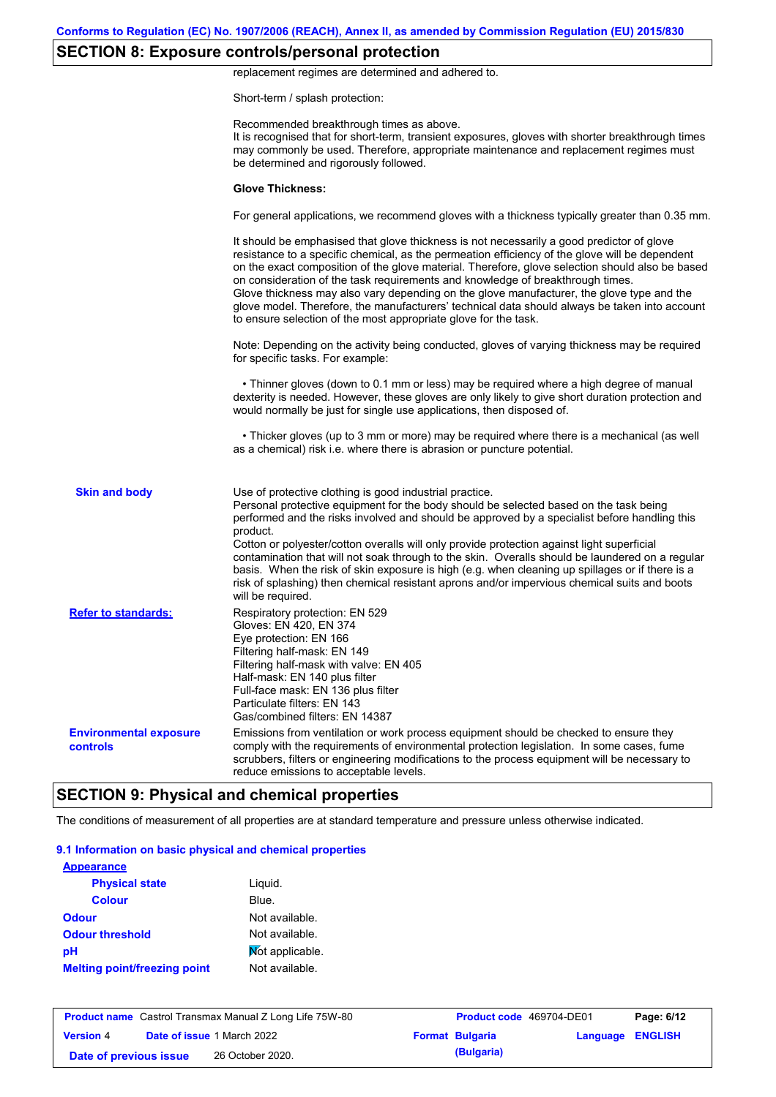## **SECTION 8: Exposure controls/personal protection**

replacement regimes are determined and adhered to.

Short-term / splash protection:

|                                           | Recommended breakthrough times as above.<br>It is recognised that for short-term, transient exposures, gloves with shorter breakthrough times<br>may commonly be used. Therefore, appropriate maintenance and replacement regimes must<br>be determined and rigorously followed.                                                                                                                                                                                                                                                                                                                                                                                                      |
|-------------------------------------------|---------------------------------------------------------------------------------------------------------------------------------------------------------------------------------------------------------------------------------------------------------------------------------------------------------------------------------------------------------------------------------------------------------------------------------------------------------------------------------------------------------------------------------------------------------------------------------------------------------------------------------------------------------------------------------------|
|                                           | <b>Glove Thickness:</b>                                                                                                                                                                                                                                                                                                                                                                                                                                                                                                                                                                                                                                                               |
|                                           | For general applications, we recommend gloves with a thickness typically greater than 0.35 mm.                                                                                                                                                                                                                                                                                                                                                                                                                                                                                                                                                                                        |
|                                           | It should be emphasised that glove thickness is not necessarily a good predictor of glove<br>resistance to a specific chemical, as the permeation efficiency of the glove will be dependent<br>on the exact composition of the glove material. Therefore, glove selection should also be based<br>on consideration of the task requirements and knowledge of breakthrough times.<br>Glove thickness may also vary depending on the glove manufacturer, the glove type and the<br>glove model. Therefore, the manufacturers' technical data should always be taken into account<br>to ensure selection of the most appropriate glove for the task.                                     |
|                                           | Note: Depending on the activity being conducted, gloves of varying thickness may be required<br>for specific tasks. For example:                                                                                                                                                                                                                                                                                                                                                                                                                                                                                                                                                      |
|                                           | • Thinner gloves (down to 0.1 mm or less) may be required where a high degree of manual<br>dexterity is needed. However, these gloves are only likely to give short duration protection and<br>would normally be just for single use applications, then disposed of.                                                                                                                                                                                                                                                                                                                                                                                                                  |
|                                           | • Thicker gloves (up to 3 mm or more) may be required where there is a mechanical (as well<br>as a chemical) risk i.e. where there is abrasion or puncture potential.                                                                                                                                                                                                                                                                                                                                                                                                                                                                                                                 |
| <b>Skin and body</b>                      | Use of protective clothing is good industrial practice.<br>Personal protective equipment for the body should be selected based on the task being<br>performed and the risks involved and should be approved by a specialist before handling this<br>product.<br>Cotton or polyester/cotton overalls will only provide protection against light superficial<br>contamination that will not soak through to the skin. Overalls should be laundered on a regular<br>basis. When the risk of skin exposure is high (e.g. when cleaning up spillages or if there is a<br>risk of splashing) then chemical resistant aprons and/or impervious chemical suits and boots<br>will be required. |
| <b>Refer to standards:</b>                | Respiratory protection: EN 529<br>Gloves: EN 420, EN 374<br>Eye protection: EN 166<br>Filtering half-mask: EN 149<br>Filtering half-mask with valve: EN 405<br>Half-mask: EN 140 plus filter<br>Full-face mask: EN 136 plus filter<br>Particulate filters: EN 143<br>Gas/combined filters: EN 14387                                                                                                                                                                                                                                                                                                                                                                                   |
| <b>Environmental exposure</b><br>controls | Emissions from ventilation or work process equipment should be checked to ensure they<br>comply with the requirements of environmental protection legislation. In some cases, fume<br>scrubbers, filters or engineering modifications to the process equipment will be necessary to<br>reduce emissions to acceptable levels.                                                                                                                                                                                                                                                                                                                                                         |

# **SECTION 9: Physical and chemical properties**

The conditions of measurement of all properties are at standard temperature and pressure unless otherwise indicated.

#### **9.1 Information on basic physical and chemical properties**

| <b>Appearance</b>                   |                 |
|-------------------------------------|-----------------|
| <b>Physical state</b>               | Liquid.         |
| <b>Colour</b>                       | Blue.           |
| <b>Odour</b>                        | Not available.  |
| <b>Odour threshold</b>              | Not available.  |
| рH                                  | Mot applicable. |
| <b>Melting point/freezing point</b> | Not available.  |

|                        | <b>Product name</b> Castrol Transmax Manual Z Long Life 75W-80 | <b>Product code</b> 469704-DE01 |                         | Page: 6/12 |
|------------------------|----------------------------------------------------------------|---------------------------------|-------------------------|------------|
| <b>Version 4</b>       | <b>Date of issue 1 March 2022</b>                              | <b>Format Bulgaria</b>          | <b>Language ENGLISH</b> |            |
| Date of previous issue | 26 October 2020.                                               | (Bulgaria)                      |                         |            |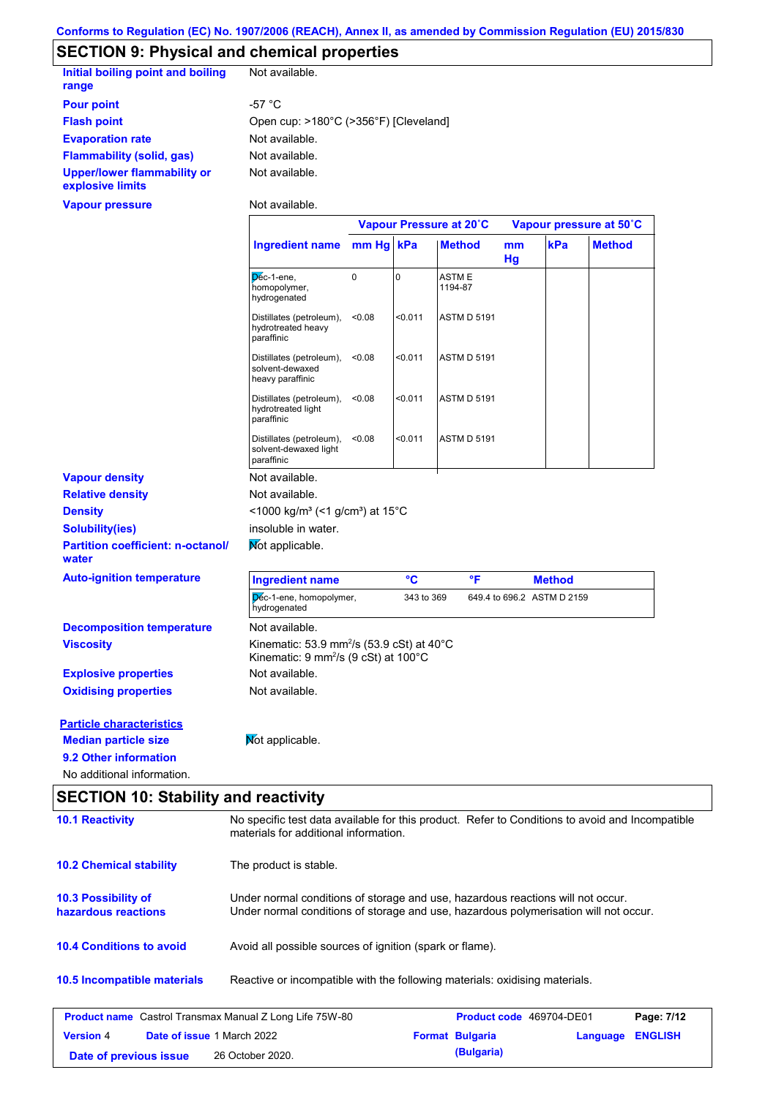## **SECTION 9: Physical and chemical properties**

| Initial boiling point and boiling<br>range             | Not available.                        |
|--------------------------------------------------------|---------------------------------------|
| <b>Pour point</b>                                      | -57 °C                                |
| <b>Flash point</b>                                     | Open cup: >180°C (>356°F) [Cleveland] |
| <b>Evaporation rate</b>                                | Not available.                        |
| Flammability (solid, gas)                              | Not available.                        |
| <b>Upper/lower flammability or</b><br>explosive limits | Not available.                        |

**Vapour pressure**

Not available.

 $\mathbf{r}$ 

|                                                                                                                                                       |                                                                                                           | Vapour Pressure at 20°C |            |                    | Vapour pressure at 50°C |                            |               |
|-------------------------------------------------------------------------------------------------------------------------------------------------------|-----------------------------------------------------------------------------------------------------------|-------------------------|------------|--------------------|-------------------------|----------------------------|---------------|
|                                                                                                                                                       | <b>Ingredient name</b>                                                                                    | mm Hg                   | kPa        | <b>Method</b>      | mm<br>Hg                | kPa                        | <b>Method</b> |
|                                                                                                                                                       | Dec-1-ene,<br>homopolymer,<br>hydrogenated                                                                | 0                       | 0          | ASTM E<br>1194-87  |                         |                            |               |
|                                                                                                                                                       | Distillates (petroleum),<br>hydrotreated heavy<br>paraffinic                                              | < 0.08                  | < 0.011    | <b>ASTM D 5191</b> |                         |                            |               |
|                                                                                                                                                       | Distillates (petroleum),<br>solvent-dewaxed<br>heavy paraffinic                                           | < 0.08                  | < 0.011    | <b>ASTM D 5191</b> |                         |                            |               |
|                                                                                                                                                       | Distillates (petroleum),<br>hydrotreated light<br>paraffinic                                              | < 0.08                  | < 0.011    | <b>ASTM D 5191</b> |                         |                            |               |
|                                                                                                                                                       | Distillates (petroleum),<br>solvent-dewaxed light<br>paraffinic                                           | < 0.08                  | < 0.011    | <b>ASTM D 5191</b> |                         |                            |               |
| <b>Vapour density</b>                                                                                                                                 | Not available.                                                                                            |                         |            |                    |                         |                            |               |
| <b>Relative density</b>                                                                                                                               | Not available.                                                                                            |                         |            |                    |                         |                            |               |
| <b>Density</b>                                                                                                                                        | <1000 kg/m <sup>3</sup> (<1 g/cm <sup>3</sup> ) at 15 <sup>°</sup> C                                      |                         |            |                    |                         |                            |               |
| <b>Solubility(ies)</b>                                                                                                                                | insoluble in water.                                                                                       |                         |            |                    |                         |                            |               |
| <b>Partition coefficient: n-octanol/</b><br>water                                                                                                     | Mot applicable.                                                                                           |                         |            |                    |                         |                            |               |
| <b>Auto-ignition temperature</b>                                                                                                                      | <b>Ingredient name</b>                                                                                    |                         | °C         | °F                 |                         | <b>Method</b>              |               |
|                                                                                                                                                       | Dec-1-ene, homopolymer,<br>hydrogenated                                                                   |                         | 343 to 369 |                    |                         | 649.4 to 696.2 ASTM D 2159 |               |
| <b>Decomposition temperature</b>                                                                                                                      | Not available.                                                                                            |                         |            |                    |                         |                            |               |
| <b>Viscosity</b>                                                                                                                                      | Kinematic: 53.9 mm <sup>2</sup> /s (53.9 cSt) at 40°C<br>Kinematic: 9 mm <sup>2</sup> /s (9 cSt) at 100°C |                         |            |                    |                         |                            |               |
|                                                                                                                                                       |                                                                                                           |                         |            |                    |                         |                            |               |
|                                                                                                                                                       | Not available.                                                                                            |                         |            |                    |                         |                            |               |
|                                                                                                                                                       | Not available.                                                                                            |                         |            |                    |                         |                            |               |
|                                                                                                                                                       |                                                                                                           |                         |            |                    |                         |                            |               |
|                                                                                                                                                       | Mot applicable.                                                                                           |                         |            |                    |                         |                            |               |
| <b>Explosive properties</b><br><b>Oxidising properties</b><br><b>Particle characteristics</b><br><b>Median particle size</b><br>9.2 Other information |                                                                                                           |                         |            |                    |                         |                            |               |

| <b>SLCTION TV. Stability and reactivity</b>                    |                                                                                                                                                                         |  |                          |          |                |  |
|----------------------------------------------------------------|-------------------------------------------------------------------------------------------------------------------------------------------------------------------------|--|--------------------------|----------|----------------|--|
| <b>10.1 Reactivity</b>                                         | No specific test data available for this product. Refer to Conditions to avoid and Incompatible<br>materials for additional information.                                |  |                          |          |                |  |
| <b>10.2 Chemical stability</b>                                 | The product is stable.                                                                                                                                                  |  |                          |          |                |  |
| <b>10.3 Possibility of</b><br>hazardous reactions              | Under normal conditions of storage and use, hazardous reactions will not occur.<br>Under normal conditions of storage and use, hazardous polymerisation will not occur. |  |                          |          |                |  |
| <b>10.4 Conditions to avoid</b>                                | Avoid all possible sources of ignition (spark or flame).                                                                                                                |  |                          |          |                |  |
| 10.5 Incompatible materials                                    | Reactive or incompatible with the following materials: oxidising materials.                                                                                             |  |                          |          |                |  |
| <b>Product name</b> Castrol Transmax Manual Z Long Life 75W-80 |                                                                                                                                                                         |  | Product code 469704-DE01 |          | Page: 7/12     |  |
| <b>Version 4</b><br><b>Date of issue 1 March 2022</b>          |                                                                                                                                                                         |  | <b>Format Bulgaria</b>   | Language | <b>ENGLISH</b> |  |
| (Bulgaria)<br>26 October 2020.<br>Date of previous issue       |                                                                                                                                                                         |  |                          |          |                |  |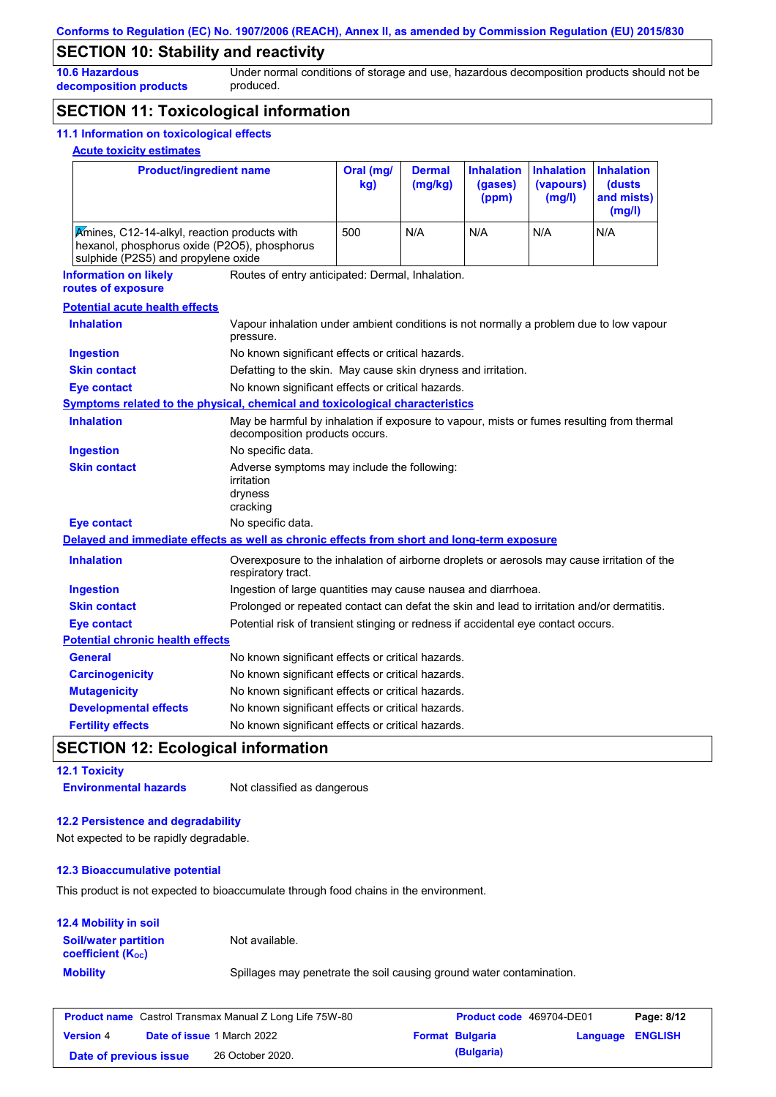## **SECTION 10: Stability and reactivity**

**10.6 Hazardous decomposition products** Under normal conditions of storage and use, hazardous decomposition products should not be produced.

## **SECTION 11: Toxicological information**

### **11.1 Information on toxicological effects**

### **Acute toxicity estimates**

| <b>Product/ingredient name</b>                                                                                                      |                                                                                                     | Oral (mg/<br>kg)                                                                                                            | <b>Dermal</b><br>(mg/kg) | <b>Inhalation</b><br>(gases)<br>(ppm) | <b>Inhalation</b><br>(vapours)<br>(mg/l) | <b>Inhalation</b><br>(dusts)<br>and mists)<br>(mg/l) |  |  |
|-------------------------------------------------------------------------------------------------------------------------------------|-----------------------------------------------------------------------------------------------------|-----------------------------------------------------------------------------------------------------------------------------|--------------------------|---------------------------------------|------------------------------------------|------------------------------------------------------|--|--|
| Amines, C12-14-alkyl, reaction products with<br>hexanol, phosphorus oxide (P2O5), phosphorus<br>sulphide (P2S5) and propylene oxide | 500                                                                                                 | N/A                                                                                                                         | N/A                      | N/A                                   | N/A                                      |                                                      |  |  |
| <b>Information on likely</b>                                                                                                        |                                                                                                     | Routes of entry anticipated: Dermal, Inhalation.                                                                            |                          |                                       |                                          |                                                      |  |  |
| routes of exposure                                                                                                                  |                                                                                                     |                                                                                                                             |                          |                                       |                                          |                                                      |  |  |
| <b>Potential acute health effects</b>                                                                                               |                                                                                                     |                                                                                                                             |                          |                                       |                                          |                                                      |  |  |
| <b>Inhalation</b>                                                                                                                   | Vapour inhalation under ambient conditions is not normally a problem due to low vapour<br>pressure. |                                                                                                                             |                          |                                       |                                          |                                                      |  |  |
| <b>Ingestion</b>                                                                                                                    | No known significant effects or critical hazards.                                                   |                                                                                                                             |                          |                                       |                                          |                                                      |  |  |
| <b>Skin contact</b>                                                                                                                 | Defatting to the skin. May cause skin dryness and irritation.                                       |                                                                                                                             |                          |                                       |                                          |                                                      |  |  |
| <b>Eye contact</b>                                                                                                                  | No known significant effects or critical hazards.                                                   |                                                                                                                             |                          |                                       |                                          |                                                      |  |  |
| Symptoms related to the physical, chemical and toxicological characteristics                                                        |                                                                                                     |                                                                                                                             |                          |                                       |                                          |                                                      |  |  |
| <b>Inhalation</b>                                                                                                                   |                                                                                                     | May be harmful by inhalation if exposure to vapour, mists or fumes resulting from thermal<br>decomposition products occurs. |                          |                                       |                                          |                                                      |  |  |
| <b>Ingestion</b>                                                                                                                    | No specific data.                                                                                   |                                                                                                                             |                          |                                       |                                          |                                                      |  |  |
| <b>Skin contact</b>                                                                                                                 | Adverse symptoms may include the following:<br><i>irritation</i><br>dryness<br>cracking             |                                                                                                                             |                          |                                       |                                          |                                                      |  |  |
| <b>Eye contact</b>                                                                                                                  | No specific data.                                                                                   |                                                                                                                             |                          |                                       |                                          |                                                      |  |  |
| Delayed and immediate effects as well as chronic effects from short and long-term exposure                                          |                                                                                                     |                                                                                                                             |                          |                                       |                                          |                                                      |  |  |
| <b>Inhalation</b>                                                                                                                   | respiratory tract.                                                                                  | Overexposure to the inhalation of airborne droplets or aerosols may cause irritation of the                                 |                          |                                       |                                          |                                                      |  |  |
| <b>Ingestion</b>                                                                                                                    |                                                                                                     | Ingestion of large quantities may cause nausea and diarrhoea.                                                               |                          |                                       |                                          |                                                      |  |  |
| <b>Skin contact</b>                                                                                                                 | Prolonged or repeated contact can defat the skin and lead to irritation and/or dermatitis.          |                                                                                                                             |                          |                                       |                                          |                                                      |  |  |
| <b>Eye contact</b>                                                                                                                  | Potential risk of transient stinging or redness if accidental eye contact occurs.                   |                                                                                                                             |                          |                                       |                                          |                                                      |  |  |
| <b>Potential chronic health effects</b>                                                                                             |                                                                                                     |                                                                                                                             |                          |                                       |                                          |                                                      |  |  |
| General                                                                                                                             | No known significant effects or critical hazards.                                                   |                                                                                                                             |                          |                                       |                                          |                                                      |  |  |
| <b>Carcinogenicity</b>                                                                                                              | No known significant effects or critical hazards.                                                   |                                                                                                                             |                          |                                       |                                          |                                                      |  |  |
| <b>Mutagenicity</b>                                                                                                                 | No known significant effects or critical hazards.                                                   |                                                                                                                             |                          |                                       |                                          |                                                      |  |  |
| <b>Developmental effects</b>                                                                                                        | No known significant effects or critical hazards.                                                   |                                                                                                                             |                          |                                       |                                          |                                                      |  |  |
| <b>Fertility effects</b>                                                                                                            |                                                                                                     | No known significant effects or critical hazards.                                                                           |                          |                                       |                                          |                                                      |  |  |

## **SECTION 12: Ecological information**

| <b>12.1 Toxicity</b>         |                             |
|------------------------------|-----------------------------|
| <b>Environmental hazards</b> | Not classified as dangerous |

#### **12.2 Persistence and degradability**

Not expected to be rapidly degradable.

#### **12.3 Bioaccumulative potential**

This product is not expected to bioaccumulate through food chains in the environment.

| <b>12.4 Mobility in soil</b>                                  |                                                                      |
|---------------------------------------------------------------|----------------------------------------------------------------------|
| <b>Soil/water partition</b><br>coefficient (K <sub>oc</sub> ) | Not available.                                                       |
| <b>Mobility</b>                                               | Spillages may penetrate the soil causing ground water contamination. |

| <b>Product name</b> Castrol Transmax Manual Z Long Life 75W-80 |  | <b>Product code</b> 469704-DE01   |  | Page: 8/12             |                  |  |
|----------------------------------------------------------------|--|-----------------------------------|--|------------------------|------------------|--|
| <b>Version 4</b>                                               |  | <b>Date of issue 1 March 2022</b> |  | <b>Format Bulgaria</b> | Language ENGLISH |  |
| Date of previous issue                                         |  | 26 October 2020.                  |  | (Bulgaria)             |                  |  |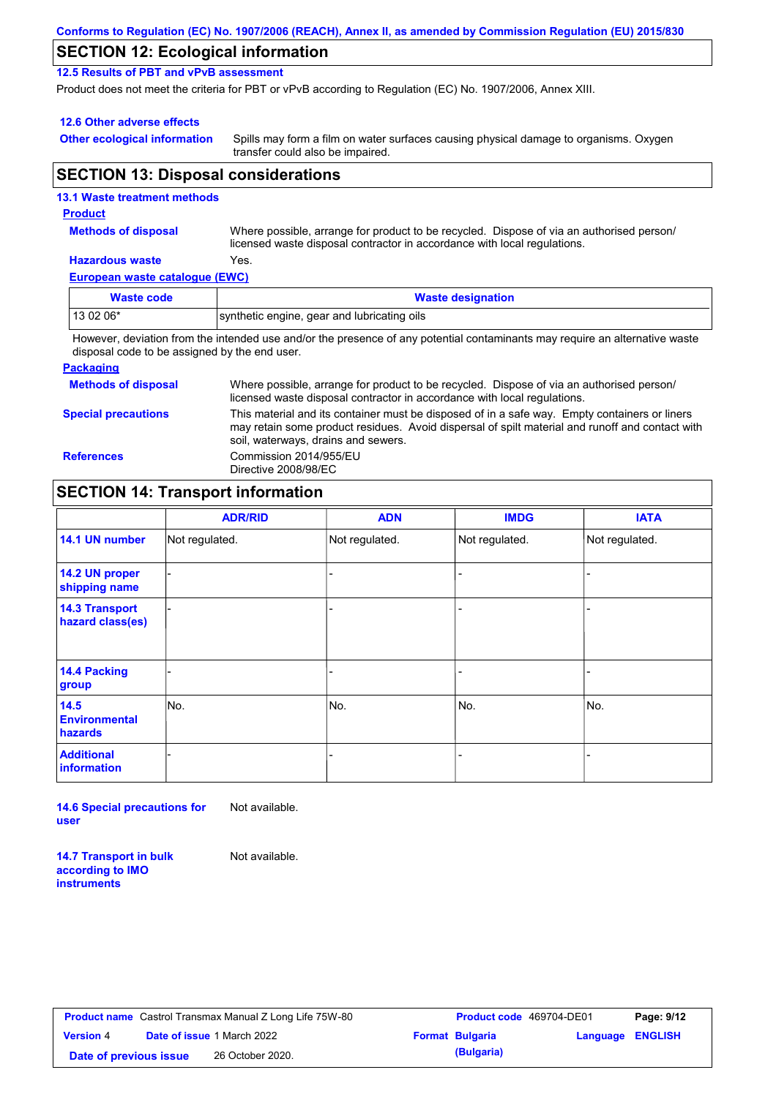| Conforms to Regulation (EC) No. 1907/2006 (REACH), Annex II, as amended by Commission Regulation (EU) 2015/830 |  |
|----------------------------------------------------------------------------------------------------------------|--|
|----------------------------------------------------------------------------------------------------------------|--|

### **SECTION 12: Ecological information**

**12.5 Results of PBT and vPvB assessment**

Product does not meet the criteria for PBT or vPvB according to Regulation (EC) No. 1907/2006, Annex XIII.

#### **12.6 Other adverse effects**

**Other ecological information**

Spills may form a film on water surfaces causing physical damage to organisms. Oxygen transfer could also be impaired.

#### **SECTION 13: Disposal considerations**

#### **European waste catalogue (EWC) Hazardous waste** Yes. Where possible, arrange for product to be recycled. Dispose of via an authorised person/ licensed waste disposal contractor in accordance with local regulations. **Methods of disposal 13.1 Waste treatment methods Product Waste code Waste designation** 13 02 06\* synthetic engine, gear and lubricating oils

However, deviation from the intended use and/or the presence of any potential contaminants may require an alternative waste disposal code to be assigned by the end user.

#### **Packaging**

| <b>Methods of disposal</b> | Where possible, arrange for product to be recycled. Dispose of via an authorised person/<br>licensed waste disposal contractor in accordance with local regulations.                                                                    |
|----------------------------|-----------------------------------------------------------------------------------------------------------------------------------------------------------------------------------------------------------------------------------------|
| <b>Special precautions</b> | This material and its container must be disposed of in a safe way. Empty containers or liners<br>may retain some product residues. Avoid dispersal of spilt material and runoff and contact with<br>soil, waterways, drains and sewers. |
| <b>References</b>          | Commission 2014/955/EU<br>Directive 2008/98/EC                                                                                                                                                                                          |

### **SECTION 14: Transport information**

|                                                | <b>ADR/RID</b> | <b>ADN</b>     | <b>IMDG</b>    | <b>IATA</b>    |
|------------------------------------------------|----------------|----------------|----------------|----------------|
| 14.1 UN number                                 | Not regulated. | Not regulated. | Not regulated. | Not regulated. |
| 14.2 UN proper<br>shipping name                |                |                |                |                |
| <b>14.3 Transport</b><br>hazard class(es)      |                |                |                |                |
| 14.4 Packing<br>group                          |                |                |                |                |
| 14.5<br><b>Environmental</b><br><b>hazards</b> | No.            | No.            | No.            | No.            |
| <b>Additional</b><br>information               |                |                |                |                |

**14.6 Special precautions for user** Not available.

**14.7 Transport in bulk according to IMO instruments**

Not available.

**Product name** Castrol Transmax Manual Z Long Life 75W-80 **Product code** 469704-DE01 **Page: 9/12 Version** 4 **Date of issue** 1 March 2022 **Date of previous issue** 26 October 2020.

| <b>Product code</b> 469704-DE01 |                  | Page: 9/12 |  |
|---------------------------------|------------------|------------|--|
| Format Bulgaria                 | Language ENGLISH |            |  |
| (Bulgaria)                      |                  |            |  |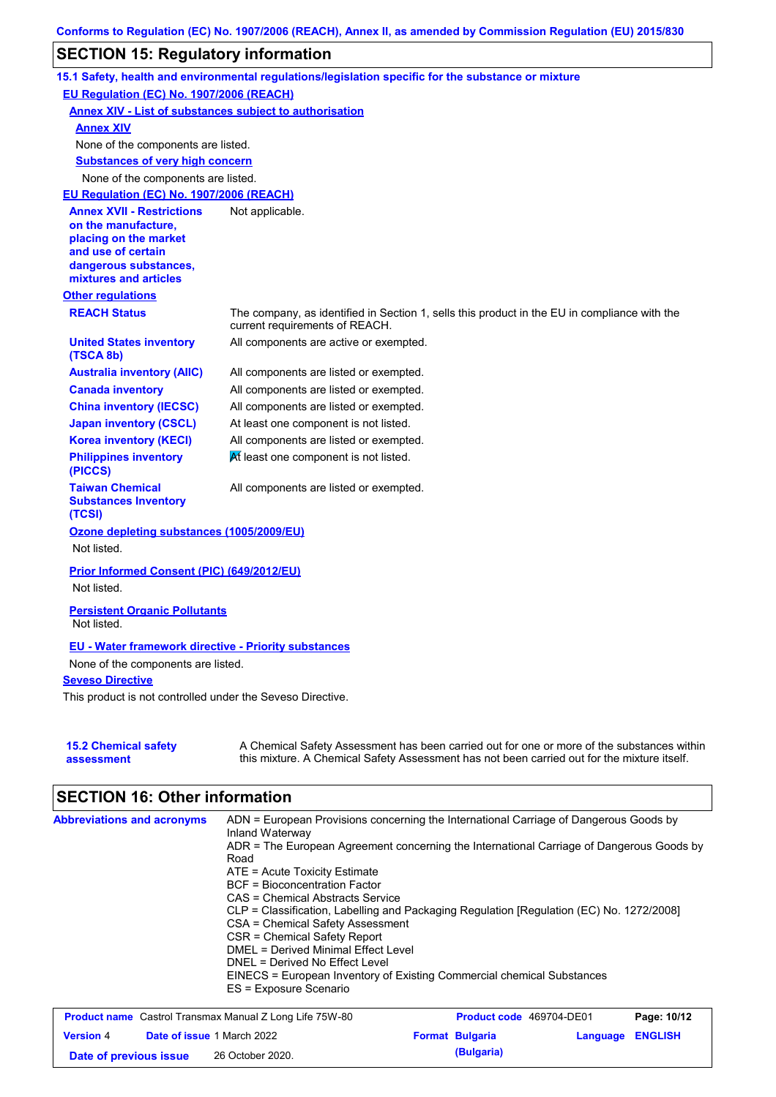## **SECTION 15: Regulatory information**

|                                                                                                                                                          | 15.1 Safety, health and environmental regulations/legislation specific for the substance or mixture                                                                                       |
|----------------------------------------------------------------------------------------------------------------------------------------------------------|-------------------------------------------------------------------------------------------------------------------------------------------------------------------------------------------|
| EU Regulation (EC) No. 1907/2006 (REACH)                                                                                                                 |                                                                                                                                                                                           |
|                                                                                                                                                          | <b>Annex XIV - List of substances subject to authorisation</b>                                                                                                                            |
| <b>Annex XIV</b>                                                                                                                                         |                                                                                                                                                                                           |
| None of the components are listed.                                                                                                                       |                                                                                                                                                                                           |
| <b>Substances of very high concern</b>                                                                                                                   |                                                                                                                                                                                           |
| None of the components are listed.                                                                                                                       |                                                                                                                                                                                           |
| EU Requlation (EC) No. 1907/2006 (REACH)                                                                                                                 |                                                                                                                                                                                           |
| <b>Annex XVII - Restrictions</b><br>on the manufacture,<br>placing on the market<br>and use of certain<br>dangerous substances,<br>mixtures and articles | Not applicable.                                                                                                                                                                           |
| <b>Other regulations</b>                                                                                                                                 |                                                                                                                                                                                           |
| <b>REACH Status</b>                                                                                                                                      | The company, as identified in Section 1, sells this product in the EU in compliance with the<br>current requirements of REACH.                                                            |
| <b>United States inventory</b><br>(TSCA 8b)                                                                                                              | All components are active or exempted.                                                                                                                                                    |
| <b>Australia inventory (AIIC)</b>                                                                                                                        | All components are listed or exempted.                                                                                                                                                    |
| <b>Canada inventory</b>                                                                                                                                  | All components are listed or exempted.                                                                                                                                                    |
| <b>China inventory (IECSC)</b>                                                                                                                           | All components are listed or exempted.                                                                                                                                                    |
| <b>Japan inventory (CSCL)</b>                                                                                                                            | At least one component is not listed.                                                                                                                                                     |
| <b>Korea inventory (KECI)</b>                                                                                                                            | All components are listed or exempted.                                                                                                                                                    |
| <b>Philippines inventory</b><br>(PICCS)                                                                                                                  | At least one component is not listed.                                                                                                                                                     |
| <b>Taiwan Chemical</b><br><b>Substances Inventory</b><br>(TCSI)                                                                                          | All components are listed or exempted.                                                                                                                                                    |
| Ozone depleting substances (1005/2009/EU)<br>Not listed.                                                                                                 |                                                                                                                                                                                           |
| Prior Informed Consent (PIC) (649/2012/EU)                                                                                                               |                                                                                                                                                                                           |
| Not listed.                                                                                                                                              |                                                                                                                                                                                           |
| <b>Persistent Organic Pollutants</b><br>Not listed.                                                                                                      |                                                                                                                                                                                           |
| <b>EU</b> - Water framework directive - Priority substances<br>None of the components are listed.                                                        |                                                                                                                                                                                           |
| <b>Seveso Directive</b>                                                                                                                                  |                                                                                                                                                                                           |
| This product is not controlled under the Seveso Directive.                                                                                               |                                                                                                                                                                                           |
| <b>15.2 Chemical safety</b><br>assessment                                                                                                                | A Chemical Safety Assessment has been carried out for one or more of the substances within<br>this mixture. A Chemical Safety Assessment has not been carried out for the mixture itself. |

# **SECTION 16: Other information**

| <b>Abbreviations and acronyms</b> | ADN = European Provisions concerning the International Carriage of Dangerous Goods by<br>Inland Waterway |
|-----------------------------------|----------------------------------------------------------------------------------------------------------|
|                                   | ADR = The European Agreement concerning the International Carriage of Dangerous Goods by                 |
|                                   | Road                                                                                                     |
|                                   | $ATE =$ Acute Toxicity Estimate                                                                          |
|                                   | <b>BCF</b> = Bioconcentration Factor                                                                     |
|                                   | CAS = Chemical Abstracts Service                                                                         |
|                                   | CLP = Classification, Labelling and Packaging Regulation [Regulation (EC) No. 1272/2008]                 |
|                                   | CSA = Chemical Safety Assessment                                                                         |
|                                   | CSR = Chemical Safety Report                                                                             |
|                                   | DMEL = Derived Minimal Effect Level                                                                      |
|                                   | DNEL = Derived No Effect Level                                                                           |
|                                   | EINECS = European Inventory of Existing Commercial chemical Substances                                   |
|                                   | ES = Exposure Scenario                                                                                   |

| <b>Product name</b> Castrol Transmax Manual Z Long Life 75W-80 |  |                                   | <b>Product code</b> 469704-DE01 | Page: 10/12            |                         |  |
|----------------------------------------------------------------|--|-----------------------------------|---------------------------------|------------------------|-------------------------|--|
| <b>Version</b> 4                                               |  | <b>Date of issue 1 March 2022</b> |                                 | <b>Format Bulgaria</b> | <b>Language ENGLISH</b> |  |
| Date of previous issue                                         |  | 26 October 2020.                  |                                 | (Bulgaria)             |                         |  |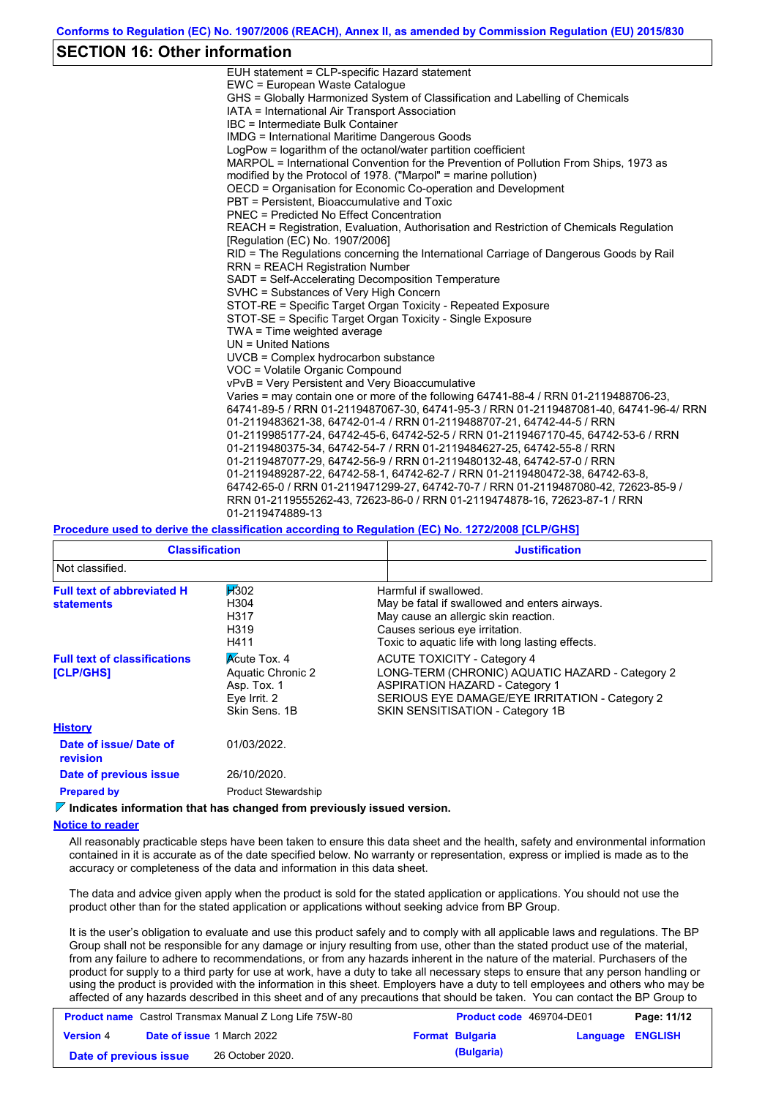### **SECTION 16: Other information**

| EUH statement = CLP-specific Hazard statement                                           |
|-----------------------------------------------------------------------------------------|
| EWC = European Waste Catalogue                                                          |
| GHS = Globally Harmonized System of Classification and Labelling of Chemicals           |
| IATA = International Air Transport Association                                          |
| IBC = Intermediate Bulk Container                                                       |
| <b>IMDG</b> = International Maritime Dangerous Goods                                    |
| LogPow = logarithm of the octanol/water partition coefficient                           |
| MARPOL = International Convention for the Prevention of Pollution From Ships, 1973 as   |
| modified by the Protocol of 1978. ("Marpol" = marine pollution)                         |
| OECD = Organisation for Economic Co-operation and Development                           |
| PBT = Persistent, Bioaccumulative and Toxic                                             |
| <b>PNEC</b> = Predicted No Effect Concentration                                         |
| REACH = Registration, Evaluation, Authorisation and Restriction of Chemicals Regulation |
| [Regulation (EC) No. 1907/2006]                                                         |
| RID = The Regulations concerning the International Carriage of Dangerous Goods by Rail  |
| <b>RRN = REACH Registration Number</b>                                                  |
| SADT = Self-Accelerating Decomposition Temperature                                      |
| SVHC = Substances of Very High Concern                                                  |
| STOT-RE = Specific Target Organ Toxicity - Repeated Exposure                            |
| STOT-SE = Specific Target Organ Toxicity - Single Exposure                              |
| TWA = Time weighted average                                                             |
| $UN = United Nations$                                                                   |
| $UVCB = Complex\;hydrocarbon\; substance$                                               |
| VOC = Volatile Organic Compound                                                         |
| vPvB = Very Persistent and Very Bioaccumulative                                         |
| Varies = may contain one or more of the following 64741-88-4 / RRN 01-2119488706-23.    |
| 64741-89-5 / RRN 01-2119487067-30, 64741-95-3 / RRN 01-2119487081-40, 64741-96-4/ RRN   |
| 01-2119483621-38, 64742-01-4 / RRN 01-2119488707-21, 64742-44-5 / RRN                   |
| 01-2119985177-24, 64742-45-6, 64742-52-5 / RRN 01-2119467170-45, 64742-53-6 / RRN       |
| 01-2119480375-34, 64742-54-7 / RRN 01-2119484627-25, 64742-55-8 / RRN                   |
| 01-2119487077-29, 64742-56-9 / RRN 01-2119480132-48, 64742-57-0 / RRN                   |
| 01-2119489287-22, 64742-58-1, 64742-62-7 / RRN 01-2119480472-38, 64742-63-8,            |
| 64742-65-0 / RRN 01-2119471299-27, 64742-70-7 / RRN 01-2119487080-42, 72623-85-9 /      |
| RRN 01-2119555262-43, 72623-86-0 / RRN 01-2119474878-16, 72623-87-1 / RRN               |
| 01-2119474889-13                                                                        |

#### **Procedure used to derive the classification according to Regulation (EC) No. 1272/2008 [CLP/GHS]**

| <b>Classification</b>                                  |                                                                                          | <b>Justification</b>                                                                                                                                                                                                 |  |
|--------------------------------------------------------|------------------------------------------------------------------------------------------|----------------------------------------------------------------------------------------------------------------------------------------------------------------------------------------------------------------------|--|
| Not classified.                                        |                                                                                          |                                                                                                                                                                                                                      |  |
| <b>Full text of abbreviated H</b><br><b>statements</b> | $\cancel{100}$<br>H304<br>H317<br>H319<br>H411                                           | Harmful if swallowed.<br>May be fatal if swallowed and enters airways.<br>May cause an allergic skin reaction.<br>Causes serious eye irritation.<br>Toxic to aquatic life with long lasting effects.                 |  |
| <b>Full text of classifications</b><br>[CLP/GHS]       | <b>Acute Tox. 4</b><br>Aquatic Chronic 2<br>Asp. Tox. 1<br>Eye Irrit. 2<br>Skin Sens, 1B | <b>ACUTE TOXICITY - Category 4</b><br>LONG-TERM (CHRONIC) AQUATIC HAZARD - Category 2<br><b>ASPIRATION HAZARD - Category 1</b><br>SERIOUS EYE DAMAGE/EYE IRRITATION - Category 2<br>SKIN SENSITISATION - Category 1B |  |
| <b>History</b>                                         |                                                                                          |                                                                                                                                                                                                                      |  |
| Date of issue/Date of<br><b>revision</b>               | 01/03/2022.                                                                              |                                                                                                                                                                                                                      |  |
| Date of previous issue                                 | 26/10/2020.                                                                              |                                                                                                                                                                                                                      |  |
| <b>Prepared by</b>                                     | <b>Product Stewardship</b>                                                               |                                                                                                                                                                                                                      |  |

**Indicates information that has changed from previously issued version.**

#### **Notice to reader**

All reasonably practicable steps have been taken to ensure this data sheet and the health, safety and environmental information contained in it is accurate as of the date specified below. No warranty or representation, express or implied is made as to the accuracy or completeness of the data and information in this data sheet.

The data and advice given apply when the product is sold for the stated application or applications. You should not use the product other than for the stated application or applications without seeking advice from BP Group.

It is the user's obligation to evaluate and use this product safely and to comply with all applicable laws and regulations. The BP Group shall not be responsible for any damage or injury resulting from use, other than the stated product use of the material, from any failure to adhere to recommendations, or from any hazards inherent in the nature of the material. Purchasers of the product for supply to a third party for use at work, have a duty to take all necessary steps to ensure that any person handling or using the product is provided with the information in this sheet. Employers have a duty to tell employees and others who may be affected of any hazards described in this sheet and of any precautions that should be taken. You can contact the BP Group to

| <b>Product name</b> Castrol Transmax Manual Z Long Life 75W-80 |  |                                   | <b>Product code</b> 469704-DE01 |                        | Page: 11/12             |  |
|----------------------------------------------------------------|--|-----------------------------------|---------------------------------|------------------------|-------------------------|--|
| <b>Version 4</b>                                               |  | <b>Date of issue 1 March 2022</b> |                                 | <b>Format Bulgaria</b> | <b>Language ENGLISH</b> |  |
| Date of previous issue                                         |  | 26 October 2020.                  |                                 | (Bulgaria)             |                         |  |